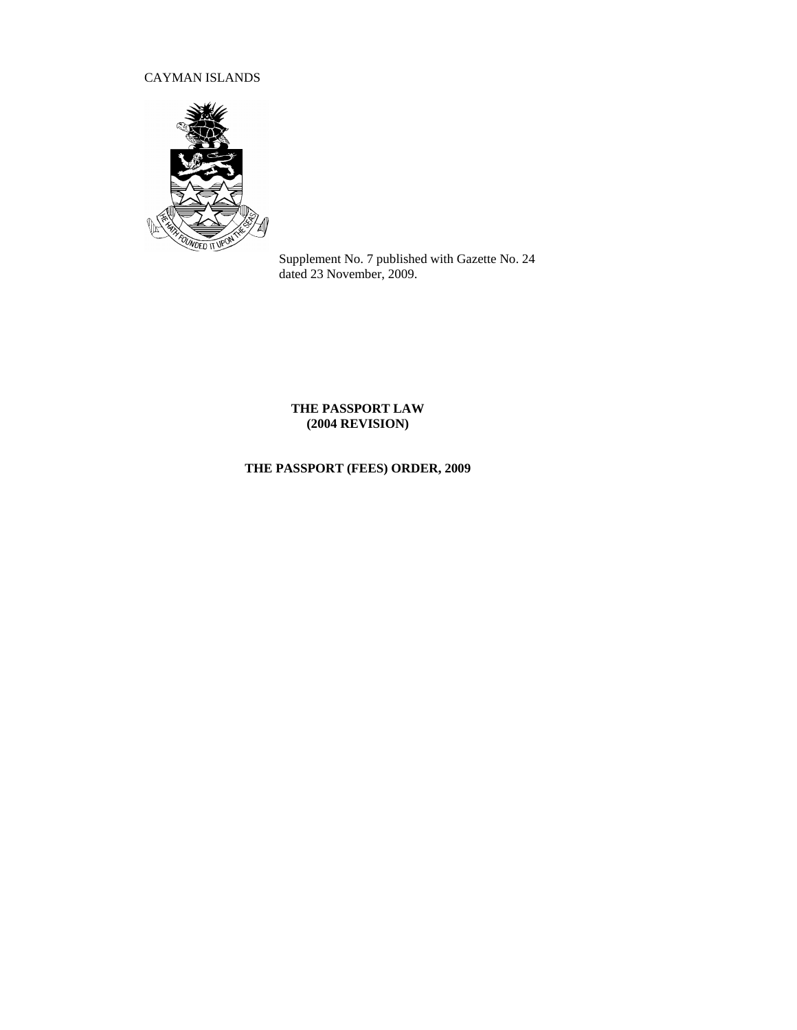# CAYMAN ISLANDS



Supplement No. 7 published with Gazette No. 24 dated 23 November, 2009.

## **THE PASSPORT LAW (2004 REVISION)**

# **THE PASSPORT (FEES) ORDER, 2009**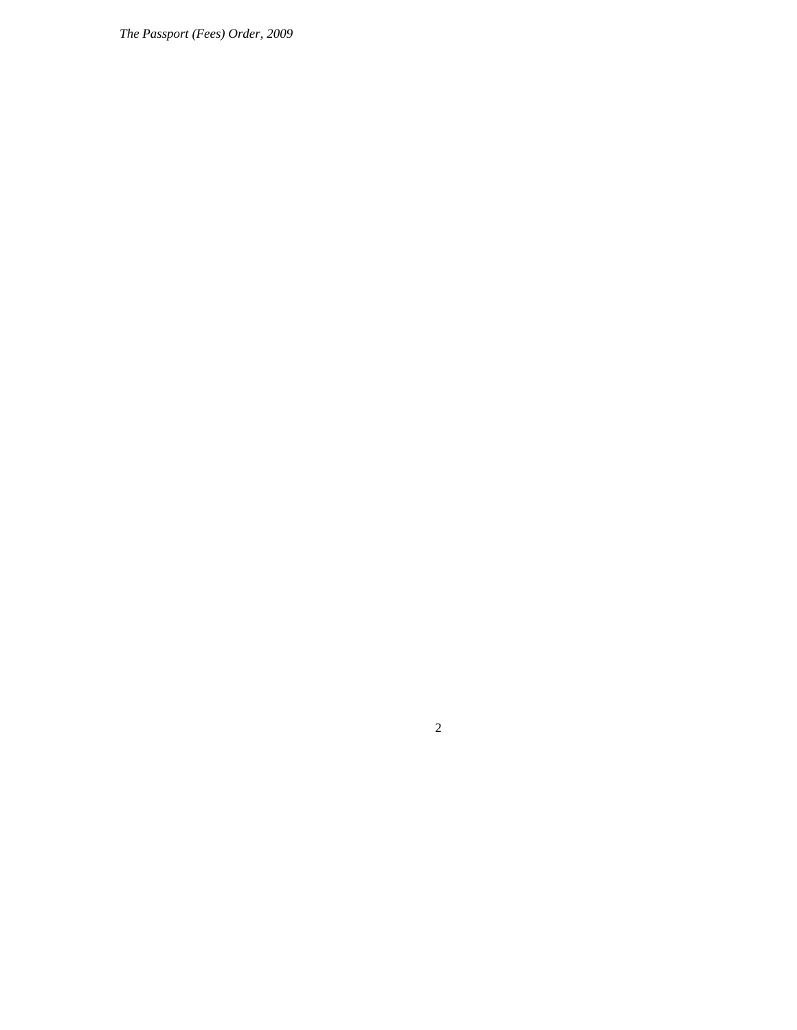*The Passport (Fees) Order, 2009* 

2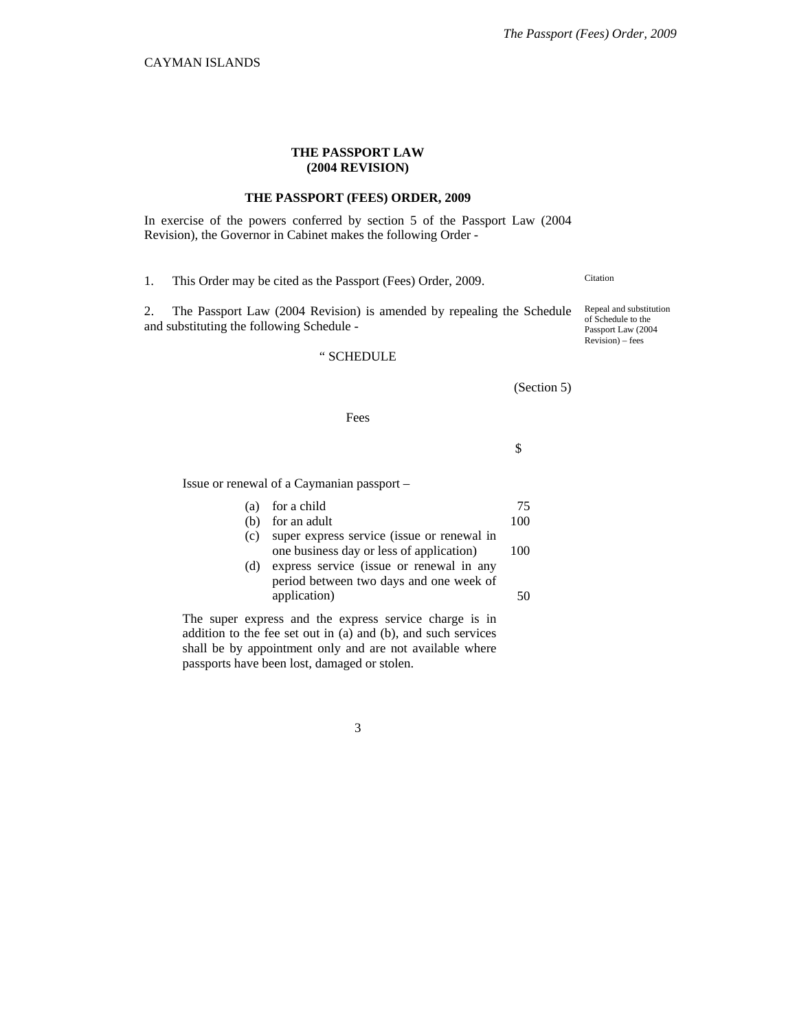Repeal and substitution of Schedule to the Passport Law (2004  $Revision) - fees$ 

#### **THE PASSPORT LAW (2004 REVISION)**

### **THE PASSPORT (FEES) ORDER, 2009**

In exercise of the powers conferred by section 5 of the Passport Law (2004 Revision), the Governor in Cabinet makes the following Order -

1. This Order may be cited as the Passport (Fees) Order, 2009. Citation

2. The Passport Law (2004 Revision) is amended by repealing the Schedule and substituting the following Schedule -

# " SCHEDULE

(Section 5)

Fees

\$

Issue or renewal of a Caymanian passport –

|                                                        | (a) | for a child                              |                                                                                        |  |  |  |  |  | 75  |
|--------------------------------------------------------|-----|------------------------------------------|----------------------------------------------------------------------------------------|--|--|--|--|--|-----|
|                                                        | (b) | for an adult                             |                                                                                        |  |  |  |  |  | 100 |
|                                                        | (c) |                                          | super express service (issue or renewal in<br>one business day or less of application) |  |  |  |  |  | 100 |
|                                                        | (d) | express service (issue or renewal in any | period between two days and one week of                                                |  |  |  |  |  |     |
|                                                        |     |                                          | application)                                                                           |  |  |  |  |  | 50  |
| The super express and the express service charge is in |     |                                          |                                                                                        |  |  |  |  |  |     |

addition to the fee set out in (a) and (b), and such services shall be by appointment only and are not available where passports have been lost, damaged or stolen.

3